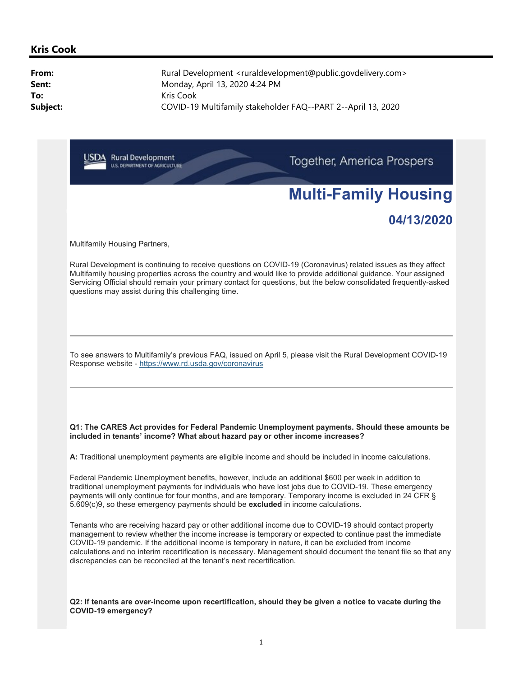# Multi-Family Housing

## 04/13/2020

Multifamily Housing Partners,

Rural Development is continuing to receive questions on COVID-19 (Coronavirus) related issues as they affect Multifamily housing properties across the country and would like to provide additional guidance. Your assigned Servicing Official should remain your primary contact for questions, but the below consolidated frequently-asked questions may assist during this challenging time.

To see answers to Multifamily's previous FAQ, issued on April 5, please visit the Rural Development COVID-19 Response website - https://www.rd.usda.gov/coronavirus

#### Q1: The CARES Act provides for Federal Pandemic Unemployment payments. Should these amounts be included in tenants' income? What about hazard pay or other income increases?

A: Traditional unemployment payments are eligible income and should be included in income calculations.

Federal Pandemic Unemployment benefits, however, include an additional \$600 per week in addition to traditional unemployment payments for individuals who have lost jobs due to COVID-19. These emergency payments will only continue for four months, and are temporary. Temporary income is excluded in 24 CFR § 5.609(c)9, so these emergency payments should be excluded in income calculations.

Tenants who are receiving hazard pay or other additional income due to COVID-19 should contact property management to review whether the income increase is temporary or expected to continue past the immediate COVID-19 pandemic. If the additional income is temporary in nature, it can be excluded from income calculations and no interim recertification is necessary. Management should document the tenant file so that any discrepancies can be reconciled at the tenant's next recertification.

Q2: If tenants are over-income upon recertification, should they be given a notice to vacate during the COVID-19 emergency?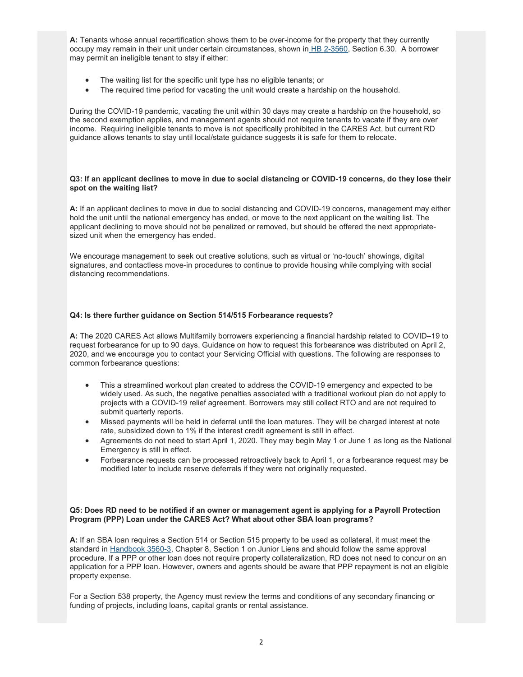A: Tenants whose annual recertification shows them to be over-income for the property that they currently occupy may remain in their unit under certain circumstances, shown in HB 2-3560, Section 6.30. A borrower may permit an ineligible tenant to stay if either:

- The waiting list for the specific unit type has no eligible tenants; or
- The required time period for vacating the unit would create a hardship on the household.

During the COVID-19 pandemic, vacating the unit within 30 days may create a hardship on the household, so the second exemption applies, and management agents should not require tenants to vacate if they are over income. Requiring ineligible tenants to move is not specifically prohibited in the CARES Act, but current RD guidance allows tenants to stay until local/state guidance suggests it is safe for them to relocate.

#### Q3: If an applicant declines to move in due to social distancing or COVID-19 concerns, do they lose their spot on the waiting list?

A: If an applicant declines to move in due to social distancing and COVID-19 concerns, management may either hold the unit until the national emergency has ended, or move to the next applicant on the waiting list. The applicant declining to move should not be penalized or removed, but should be offered the next appropriatesized unit when the emergency has ended.

We encourage management to seek out creative solutions, such as virtual or 'no-touch' showings, digital signatures, and contactless move-in procedures to continue to provide housing while complying with social distancing recommendations.

#### Q4: Is there further guidance on Section 514/515 Forbearance requests?

A: The 2020 CARES Act allows Multifamily borrowers experiencing a financial hardship related to COVID–19 to request forbearance for up to 90 days. Guidance on how to request this forbearance was distributed on April 2, 2020, and we encourage you to contact your Servicing Official with questions. The following are responses to common forbearance questions:

- This a streamlined workout plan created to address the COVID-19 emergency and expected to be widely used. As such, the negative penalties associated with a traditional workout plan do not apply to projects with a COVID-19 relief agreement. Borrowers may still collect RTO and are not required to submit quarterly reports.
- Missed payments will be held in deferral until the loan matures. They will be charged interest at note rate, subsidized down to 1% if the interest credit agreement is still in effect.
- Agreements do not need to start April 1, 2020. They may begin May 1 or June 1 as long as the National Emergency is still in effect.
- Forbearance requests can be processed retroactively back to April 1, or a forbearance request may be modified later to include reserve deferrals if they were not originally requested.

#### Q5: Does RD need to be notified if an owner or management agent is applying for a Payroll Protection Program (PPP) Loan under the CARES Act? What about other SBA loan programs?

A: If an SBA loan requires a Section 514 or Section 515 property to be used as collateral, it must meet the standard in Handbook 3560-3, Chapter 8, Section 1 on Junior Liens and should follow the same approval procedure. If a PPP or other loan does not require property collateralization, RD does not need to concur on an application for a PPP loan. However, owners and agents should be aware that PPP repayment is not an eligible property expense.

For a Section 538 property, the Agency must review the terms and conditions of any secondary financing or funding of projects, including loans, capital grants or rental assistance.